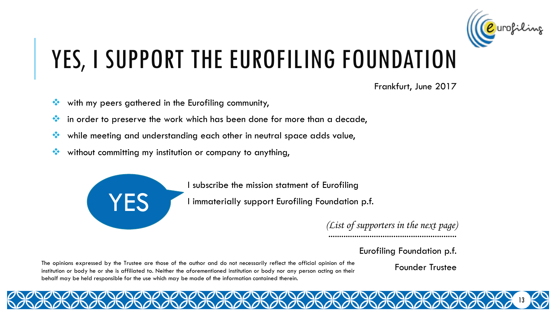

## YES, I SUPPORT THE EUROFILING FOUNDATION

Frankfurt, June 2017

- with my peers gathered in the Eurofiling community,
- in order to preserve the work which has been done for more than a decade,
- while meeting and understanding each other in neutral space adds value,
- without committing my institution or company to anything,



I subscribe the mission statment of Eurofiling

I immaterially support Eurofiling Foundation p.f.

........................................................... *(List of supporters in the next page)*

Eurofiling Foundation p.f.

The opinions expressed by the Trustee are those of the author and do not necessarily reflect the official opinion of the institution or body he or she is affiliated to. Neither the aforementioned institution or body nor any person acting on their behalf may be held responsible for the use which may be made of the information contained therein.

Founder Trustee